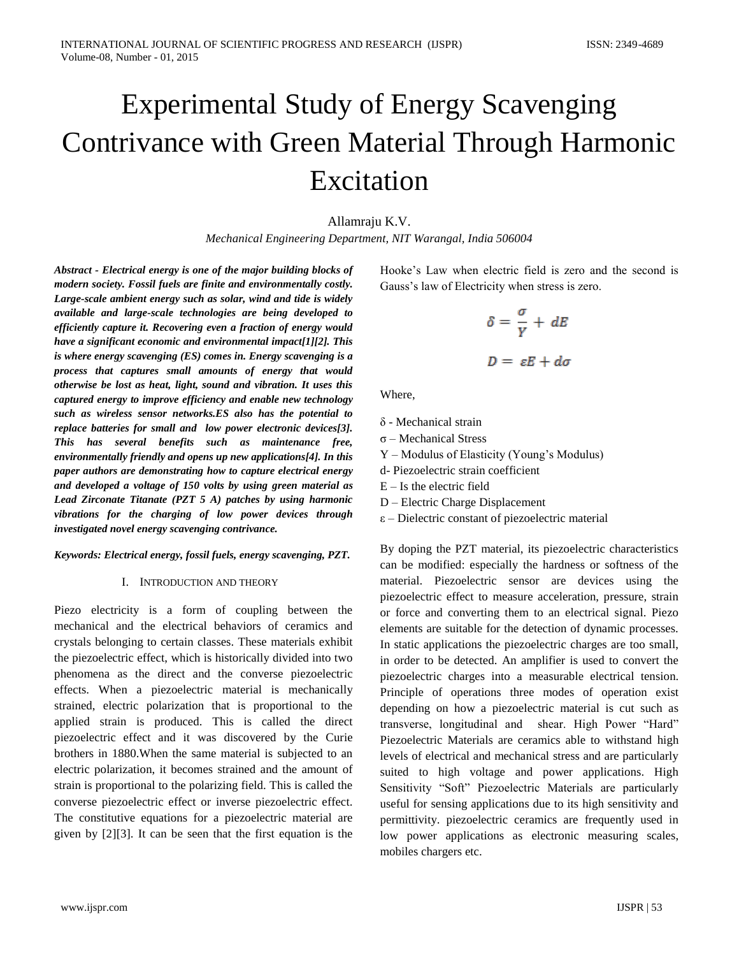# Experimental Study of Energy Scavenging Contrivance with Green Material Through Harmonic Excitation

Allamraju K.V.

*Mechanical Engineering Department, NIT Warangal, India 506004*

*Abstract - Electrical energy is one of the major building blocks of modern society. Fossil fuels are finite and environmentally costly. Large-scale ambient energy such as solar, wind and tide is widely available and large-scale technologies are being developed to efficiently capture it. Recovering even a fraction of energy would have a significant economic and environmental impact[1][2]. This is where energy scavenging (ES) comes in. Energy scavenging is a process that captures small amounts of energy that would otherwise be lost as heat, light, sound and vibration. It uses this captured energy to improve efficiency and enable new technology such as wireless sensor networks.ES also has the potential to replace batteries for small and low power electronic devices[3]. This has several benefits such as maintenance free, environmentally friendly and opens up new applications[4]. In this paper authors are demonstrating how to capture electrical energy and developed a voltage of 150 volts by using green material as Lead Zirconate Titanate (PZT 5 A) patches by using harmonic vibrations for the charging of low power devices through investigated novel energy scavenging contrivance.* 

## *Keywords: Electrical energy, fossil fuels, energy scavenging, PZT.*

## I. INTRODUCTION AND THEORY

Piezo electricity is a form of coupling between the mechanical and the electrical behaviors of ceramics and crystals belonging to certain classes. These materials exhibit the piezoelectric effect, which is historically divided into two phenomena as the direct and the converse piezoelectric effects. When a piezoelectric material is mechanically strained, electric polarization that is proportional to the applied strain is produced. This is called the direct piezoelectric effect and it was discovered by the Curie brothers in 1880.When the same material is subjected to an electric polarization, it becomes strained and the amount of strain is proportional to the polarizing field. This is called the converse piezoelectric effect or inverse piezoelectric effect. The constitutive equations for a piezoelectric material are given by [2][3]. It can be seen that the first equation is the Hooke's Law when electric field is zero and the second is Gauss's law of Electricity when stress is zero.

$$
\delta = \frac{\sigma}{Y} + dE
$$

$$
D = \varepsilon E + d\sigma
$$

Where,

δ - Mechanical strain

 $\sigma$  – Mechanical Stress

Y – Modulus of Elasticity (Young's Modulus)

d- Piezoelectric strain coefficient

 $E - Is$  the electric field

D – Electric Charge Displacement

ε – Dielectric constant of piezoelectric material

By doping the PZT material, its piezoelectric characteristics can be modified: especially the hardness or softness of the material. Piezoelectric sensor are devices using the piezoelectric effect to measure acceleration, pressure, strain or force and converting them to an electrical signal. Piezo elements are suitable for the detection of dynamic processes. In static applications the piezoelectric charges are too small, in order to be detected. An amplifier is used to convert the piezoelectric charges into a measurable electrical tension. Principle of operations three modes of operation exist depending on how a piezoelectric material is cut such as transverse, longitudinal and shear. High Power "Hard" Piezoelectric Materials are ceramics able to withstand high levels of electrical and mechanical stress and are particularly suited to high voltage and power applications. High Sensitivity "Soft" Piezoelectric Materials are particularly useful for sensing applications due to its high sensitivity and permittivity. piezoelectric ceramics are frequently used in low power applications as electronic measuring scales, mobiles chargers etc.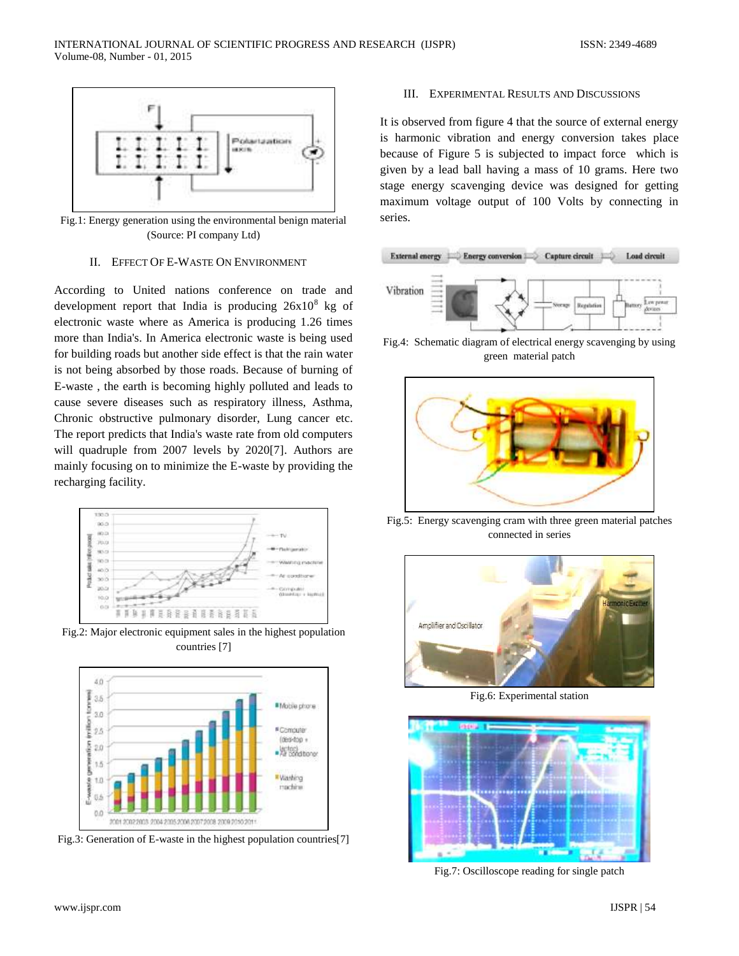

Fig.1: Energy generation using the environmental benign material (Source: PI company Ltd)

#### II. EFFECT OF E-WASTE ON ENVIRONMENT

According to United nations conference on trade and development report that India is producing  $26x10^8$  kg of electronic waste where as America is producing 1.26 times more than India's. In America electronic waste is being used for building roads but another side effect is that the rain water is not being absorbed by those roads. Because of burning of E-waste , the earth is becoming highly polluted and leads to cause severe diseases such as respiratory illness, Asthma, Chronic obstructive pulmonary disorder, Lung cancer etc. The report predicts that India's waste rate from old computers will quadruple from 2007 levels by 2020[7]. Authors are mainly focusing on to minimize the E-waste by providing the recharging facility.



Fig.2: Major electronic equipment sales in the highest population countries [7]



Fig.3: Generation of E-waste in the highest population countries[7]

# III. EXPERIMENTAL RESULTS AND DISCUSSIONS

It is observed from figure 4 that the source of external energy is harmonic vibration and energy conversion takes place because of Figure 5 is subjected to impact force which is given by a lead ball having a mass of 10 grams. Here two stage energy scavenging device was designed for getting maximum voltage output of 100 Volts by connecting in series.



Fig.4: Schematic diagram of electrical energy scavenging by using green material patch



Fig.5: Energy scavenging cram with three green material patches connected in series



Fig.6: Experimental station



Fig.7: Oscilloscope reading for single patch